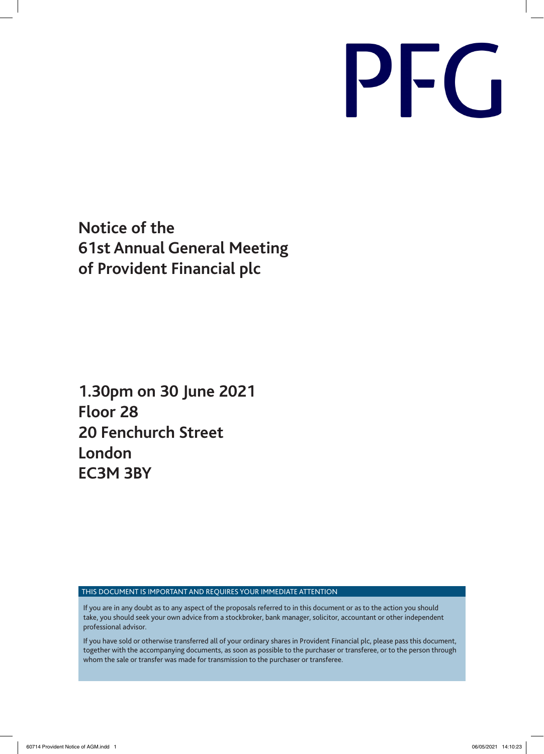# PFG

**Notice of the 61st Annual General Meeting of Provident Financial plc**

**1.30pm on 30 June 2021 Floor 28 20 Fenchurch Street London EC3M 3BY**

THIS DOCUMENT IS IMPORTANT AND REQUIRES YOUR IMMEDIATE ATTENTION

 If you are in any doubt as to any aspect of the proposals referred to in this document or as to the action you should take, you should seek your own advice from a stockbroker, bank manager, solicitor, accountant or other independent professional advisor.

 If you have sold or otherwise transferred all of your ordinary shares in Provident Financial plc, please pass this document, together with the accompanying documents, as soon as possible to the purchaser or transferee, or to the person through whom the sale or transfer was made for transmission to the purchaser or transferee.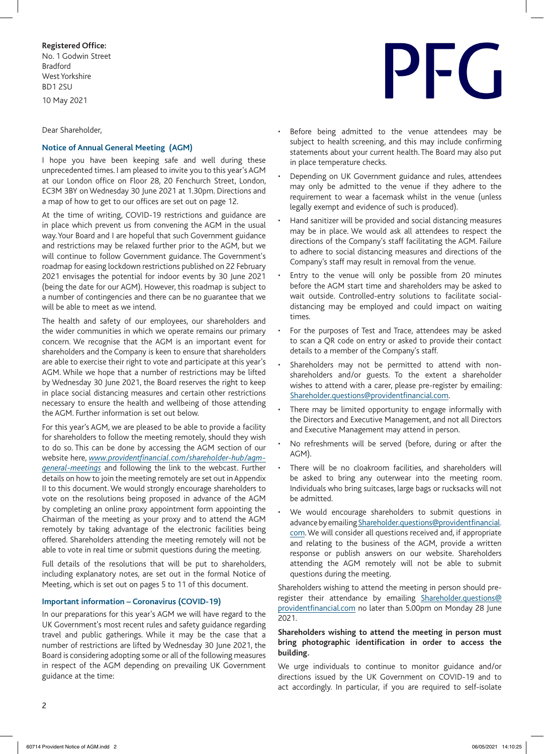# **Registered Office:**

No. 1 Godwin Street Bradford West Yorkshire BD1 2SU

10 May 2021

Dear Shareholder,

# **Notice of Annual General Meeting (AGM)**

I hope you have been keeping safe and well during these unprecedented times. I am pleased to invite you to this year's AGM at our London office on Floor 28, 20 Fenchurch Street, London, EC3M 3BY on Wednesday 30 June 2021 at 1.30pm. Directions and a map of how to get to our offices are set out on page 12.

At the time of writing, COVID-19 restrictions and guidance are in place which prevent us from convening the AGM in the usual way. Your Board and I are hopeful that such Government guidance and restrictions may be relaxed further prior to the AGM, but we will continue to follow Government guidance. The Government's roadmap for easing lockdown restrictions published on 22 February 2021 envisages the potential for indoor events by 30 June 2021 (being the date for our AGM). However, this roadmap is subject to a number of contingencies and there can be no guarantee that we will be able to meet as we intend.

The health and safety of our employees, our shareholders and the wider communities in which we operate remains our primary concern. We recognise that the AGM is an important event for shareholders and the Company is keen to ensure that shareholders are able to exercise their right to vote and participate at this year's AGM. While we hope that a number of restrictions may be lifted by Wednesday 30 June 2021, the Board reserves the right to keep in place social distancing measures and certain other restrictions necessary to ensure the health and wellbeing of those attending the AGM. Further information is set out below.

For this year's AGM, we are pleased to be able to provide a facility for shareholders to follow the meeting remotely, should they wish to do so. This can be done by accessing the AGM section of our website here, *www.providentfinancial.com/shareholder-hub/agmgeneral-meetings* and following the link to the webcast. Further details on how to join the meeting remotely are set out in Appendix II to this document. We would strongly encourage shareholders to vote on the resolutions being proposed in advance of the AGM by completing an online proxy appointment form appointing the Chairman of the meeting as your proxy and to attend the AGM remotely by taking advantage of the electronic facilities being offered. Shareholders attending the meeting remotely will not be able to vote in real time or submit questions during the meeting.

Full details of the resolutions that will be put to shareholders, including explanatory notes, are set out in the formal Notice of Meeting, which is set out on pages 5 to 11 of this document.

# **Important information – Coronavirus (COVID-19)**

In our preparations for this year's AGM we will have regard to the UK Government's most recent rules and safety guidance regarding travel and public gatherings. While it may be the case that a number of restrictions are lifted by Wednesday 30 June 2021, the Board is considering adopting some or all of the following measures in respect of the AGM depending on prevailing UK Government guidance at the time:



- Before being admitted to the venue attendees may be subject to health screening, and this may include confirming statements about your current health. The Board may also put in place temperature checks.
- Depending on UK Government guidance and rules, attendees may only be admitted to the venue if they adhere to the requirement to wear a facemask whilst in the venue (unless legally exempt and evidence of such is produced).
- Hand sanitizer will be provided and social distancing measures may be in place. We would ask all attendees to respect the directions of the Company's staff facilitating the AGM. Failure to adhere to social distancing measures and directions of the Company's staff may result in removal from the venue.
- Entry to the venue will only be possible from 20 minutes before the AGM start time and shareholders may be asked to wait outside. Controlled-entry solutions to facilitate socialdistancing may be employed and could impact on waiting times.
- For the purposes of Test and Trace, attendees may be asked to scan a QR code on entry or asked to provide their contact details to a member of the Company's staff.
- Shareholders may not be permitted to attend with nonshareholders and/or guests. To the extent a shareholder wishes to attend with a carer, please pre-register by emailing: Shareholder.questions@providentfinancial.com.
- There may be limited opportunity to engage informally with the Directors and Executive Management, and not all Directors and Executive Management may attend in person.
- No refreshments will be served (before, during or after the AGM).
- There will be no cloakroom facilities, and shareholders will be asked to bring any outerwear into the meeting room. Individuals who bring suitcases, large bags or rucksacks will not be admitted.
- We would encourage shareholders to submit questions in advance by emailing Shareholder.questions@providentfinancial. com. We will consider all questions received and, if appropriate and relating to the business of the AGM, provide a written response or publish answers on our website. Shareholders attending the AGM remotely will not be able to submit questions during the meeting.

Shareholders wishing to attend the meeting in person should preregister their attendance by emailing Shareholder.questions@ providentfinancial.com no later than 5.00pm on Monday 28 June 2021.

# **Shareholders wishing to attend the meeting in person must bring photographic identification in order to access the building.**

We urge individuals to continue to monitor guidance and/or directions issued by the UK Government on COVID-19 and to act accordingly. In particular, if you are required to self-isolate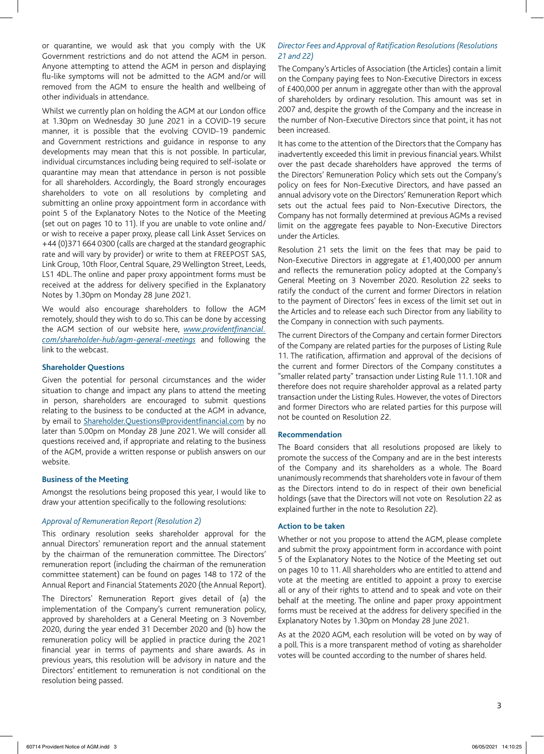or quarantine, we would ask that you comply with the UK Government restrictions and do not attend the AGM in person. Anyone attempting to attend the AGM in person and displaying flu-like symptoms will not be admitted to the AGM and/or will removed from the AGM to ensure the health and wellbeing of other individuals in attendance.

Whilst we currently plan on holding the AGM at our London office at 1.30pm on Wednesday 30 June 2021 in a COVID-19 secure manner, it is possible that the evolving COVID-19 pandemic and Government restrictions and guidance in response to any developments may mean that this is not possible. In particular, individual circumstances including being required to self-isolate or quarantine may mean that attendance in person is not possible for all shareholders. Accordingly, the Board strongly encourages shareholders to vote on all resolutions by completing and submitting an online proxy appointment form in accordance with point 5 of the Explanatory Notes to the Notice of the Meeting (set out on pages 10 to 11). If you are unable to vote online and/ or wish to receive a paper proxy, please call Link Asset Services on +44 (0)371 664 0300 (calls are charged at the standard geographic rate and will vary by provider) or write to them at FREEPOST SAS, Link Group, 10th Floor, Central Square, 29 Wellington Street, Leeds, LS1 4DL. The online and paper proxy appointment forms must be received at the address for delivery specified in the Explanatory Notes by 1.30pm on Monday 28 June 2021.

We would also encourage shareholders to follow the AGM remotely, should they wish to do so. This can be done by accessing the AGM section of our website here, *www.providentfinancial. com/shareholder-hub/agm-general-meetings* and following the link to the webcast.

# **Shareholder Questions**

Given the potential for personal circumstances and the wider situation to change and impact any plans to attend the meeting in person, shareholders are encouraged to submit questions relating to the business to be conducted at the AGM in advance, by email to Shareholder.Questions@providentfinancial.com by no later than 5.00pm on Monday 28 June 2021. We will consider all questions received and, if appropriate and relating to the business of the AGM, provide a written response or publish answers on our website.

#### **Business of the Meeting**

Amongst the resolutions being proposed this year, I would like to draw your attention specifically to the following resolutions:

# *Approval of Remuneration Report (Resolution 2)*

This ordinary resolution seeks shareholder approval for the annual Directors' remuneration report and the annual statement by the chairman of the remuneration committee. The Directors' remuneration report (including the chairman of the remuneration committee statement) can be found on pages 148 to 172 of the Annual Report and Financial Statements 2020 (the Annual Report).

The Directors' Remuneration Report gives detail of (a) the implementation of the Company's current remuneration policy, approved by shareholders at a General Meeting on 3 November 2020, during the year ended 31 December 2020 and (b) how the remuneration policy will be applied in practice during the 2021 financial year in terms of payments and share awards. As in previous years, this resolution will be advisory in nature and the Directors' entitlement to remuneration is not conditional on the resolution being passed.

#### *Director Fees and Approval of Ratification Resolutions (Resolutions 21 and 22)*

The Company's Articles of Association (the Articles) contain a limit on the Company paying fees to Non-Executive Directors in excess of £400,000 per annum in aggregate other than with the approval of shareholders by ordinary resolution. This amount was set in 2007 and, despite the growth of the Company and the increase in the number of Non-Executive Directors since that point, it has not been increased.

It has come to the attention of the Directors that the Company has inadvertently exceeded this limit in previous financial years. Whilst over the past decade shareholders have approved the terms of the Directors' Remuneration Policy which sets out the Company's policy on fees for Non-Executive Directors, and have passed an annual advisory vote on the Directors' Remuneration Report which sets out the actual fees paid to Non-Executive Directors, the Company has not formally determined at previous AGMs a revised limit on the aggregate fees payable to Non-Executive Directors under the Articles.

Resolution 21 sets the limit on the fees that may be paid to Non-Executive Directors in aggregate at £1,400,000 per annum and reflects the remuneration policy adopted at the Company's General Meeting on 3 November 2020. Resolution 22 seeks to ratify the conduct of the current and former Directors in relation to the payment of Directors' fees in excess of the limit set out in the Articles and to release each such Director from any liability to the Company in connection with such payments.

The current Directors of the Company and certain former Directors of the Company are related parties for the purposes of Listing Rule 11. The ratification, affirmation and approval of the decisions of the current and former Directors of the Company constitutes a "smaller related party" transaction under Listing Rule 11.1.10R and therefore does not require shareholder approval as a related party transaction under the Listing Rules. However, the votes of Directors and former Directors who are related parties for this purpose will not be counted on Resolution 22.

# **Recommendation**

The Board considers that all resolutions proposed are likely to promote the success of the Company and are in the best interests of the Company and its shareholders as a whole. The Board unanimously recommends that shareholders vote in favour of them as the Directors intend to do in respect of their own beneficial holdings (save that the Directors will not vote on Resolution 22 as explained further in the note to Resolution 22).

#### **Action to be taken**

Whether or not you propose to attend the AGM, please complete and submit the proxy appointment form in accordance with point 5 of the Explanatory Notes to the Notice of the Meeting set out on pages 10 to 11. All shareholders who are entitled to attend and vote at the meeting are entitled to appoint a proxy to exercise all or any of their rights to attend and to speak and vote on their behalf at the meeting. The online and paper proxy appointment forms must be received at the address for delivery specified in the Explanatory Notes by 1.30pm on Monday 28 June 2021.

As at the 2020 AGM, each resolution will be voted on by way of a poll. This is a more transparent method of voting as shareholder votes will be counted according to the number of shares held.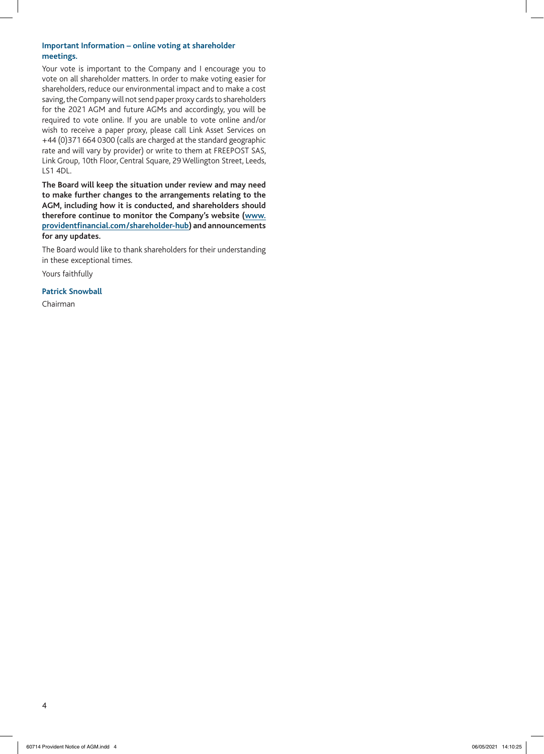# **Important Information – online voting at shareholder meetings.**

Your vote is important to the Company and I encourage you to vote on all shareholder matters. In order to make voting easier for shareholders, reduce our environmental impact and to make a cost saving, the Company will not send paper proxy cards to shareholders for the 2021 AGM and future AGMs and accordingly, you will be required to vote online. If you are unable to vote online and/or wish to receive a paper proxy, please call Link Asset Services on +44 (0)371 664 0300 (calls are charged at the standard geographic rate and will vary by provider) or write to them at FREEPOST SAS, Link Group, 10th Floor, Central Square, 29 Wellington Street, Leeds, LS1 4DL.

**The Board will keep the situation under review and may need to make further changes to the arrangements relating to the AGM, including how it is conducted, and shareholders should therefore continue to monitor the Company's website (www. providentfinancial.com/shareholder-hub) and announcements for any updates.** 

The Board would like to thank shareholders for their understanding in these exceptional times.

Yours faithfully

# **Patrick Snowball**

Chairman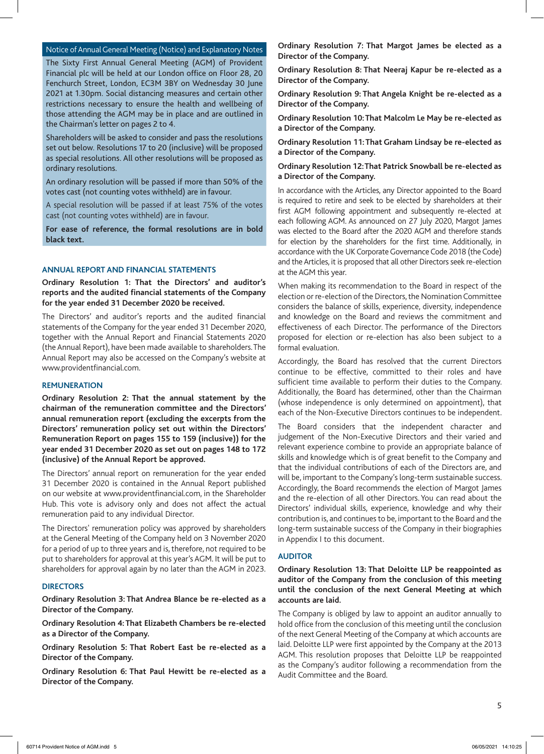# Notice of Annual General Meeting (Notice) and Explanatory Notes

The Sixty First Annual General Meeting (AGM) of Provident Financial plc will be held at our London office on Floor 28, 20 Fenchurch Street, London, EC3M 3BY on Wednesday 30 June 2021 at 1.30pm. Social distancing measures and certain other restrictions necessary to ensure the health and wellbeing of those attending the AGM may be in place and are outlined in the Chairman's letter on pages 2 to 4.

Shareholders will be asked to consider and pass the resolutions set out below. Resolutions 17 to 20 (inclusive) will be proposed as special resolutions. All other resolutions will be proposed as ordinary resolutions.

An ordinary resolution will be passed if more than 50% of the votes cast (not counting votes withheld) are in favour.

A special resolution will be passed if at least 75% of the votes cast (not counting votes withheld) are in favour.

**For ease of reference, the formal resolutions are in bold black text.**

# **ANNUAL REPORT AND FINANCIAL STATEMENTS**

**Ordinary Resolution 1: That the Directors' and auditor's reports and the audited financial statements of the Company for the year ended 31 December 2020 be received.**

The Directors' and auditor's reports and the audited financial statements of the Company for the year ended 31 December 2020, together with the Annual Report and Financial Statements 2020 (the Annual Report), have been made available to shareholders. The Annual Report may also be accessed on the Company's website at www.providentfinancial.com.

#### **REMUNERATION**

**Ordinary Resolution 2: That the annual statement by the chairman of the remuneration committee and the Directors' annual remuneration report (excluding the excerpts from the Directors' remuneration policy set out within the Directors' Remuneration Report on pages 155 to 159 (inclusive)) for the year ended 31 December 2020 as set out on pages 148 to 172 (inclusive) of the Annual Report be approved.**

The Directors' annual report on remuneration for the year ended 31 December 2020 is contained in the Annual Report published on our website at www.providentfinancial.com, in the Shareholder Hub. This vote is advisory only and does not affect the actual remuneration paid to any individual Director.

The Directors' remuneration policy was approved by shareholders at the General Meeting of the Company held on 3 November 2020 for a period of up to three years and is, therefore, not required to be put to shareholders for approval at this year's AGM. It will be put to shareholders for approval again by no later than the AGM in 2023.

#### **DIRECTORS**

**Ordinary Resolution 3: That Andrea Blance be re-elected as a Director of the Company.**

**Ordinary Resolution 4: That Elizabeth Chambers be re-elected as a Director of the Company.**

**Ordinary Resolution 5: That Robert East be re-elected as a Director of the Company.**

**Ordinary Resolution 6: That Paul Hewitt be re-elected as a Director of the Company.**

**Ordinary Resolution 7: That Margot James be elected as a Director of the Company.**

**Ordinary Resolution 8: That Neeraj Kapur be re-elected as a Director of the Company.**

**Ordinary Resolution 9: That Angela Knight be re-elected as a Director of the Company.**

**Ordinary Resolution 10: That Malcolm Le May be re-elected as a Director of the Company.**

**Ordinary Resolution 11: That Graham Lindsay be re-elected as a Director of the Company.**

# **Ordinary Resolution 12: That Patrick Snowball be re-elected as a Director of the Company.**

In accordance with the Articles, any Director appointed to the Board is required to retire and seek to be elected by shareholders at their first AGM following appointment and subsequently re-elected at each following AGM. As announced on 27 July 2020, Margot James was elected to the Board after the 2020 AGM and therefore stands for election by the shareholders for the first time. Additionally, in accordance with the UK Corporate Governance Code 2018 (the Code) and the Articles, it is proposed that all other Directors seek re-election at the AGM this year.

When making its recommendation to the Board in respect of the election or re-election of the Directors, the Nomination Committee considers the balance of skills, experience, diversity, independence and knowledge on the Board and reviews the commitment and effectiveness of each Director. The performance of the Directors proposed for election or re-election has also been subject to a formal evaluation.

Accordingly, the Board has resolved that the current Directors continue to be effective, committed to their roles and have sufficient time available to perform their duties to the Company. Additionally, the Board has determined, other than the Chairman (whose independence is only determined on appointment), that each of the Non-Executive Directors continues to be independent.

The Board considers that the independent character and judgement of the Non-Executive Directors and their varied and relevant experience combine to provide an appropriate balance of skills and knowledge which is of great benefit to the Company and that the individual contributions of each of the Directors are, and will be, important to the Company's long-term sustainable success. Accordingly, the Board recommends the election of Margot James and the re-election of all other Directors. You can read about the Directors' individual skills, experience, knowledge and why their contribution is, and continues to be, important to the Board and the long-term sustainable success of the Company in their biographies in Appendix I to this document.

# **AUDITOR**

# **Ordinary Resolution 13: That Deloitte LLP be reappointed as auditor of the Company from the conclusion of this meeting until the conclusion of the next General Meeting at which accounts are laid.**

The Company is obliged by law to appoint an auditor annually to hold office from the conclusion of this meeting until the conclusion of the next General Meeting of the Company at which accounts are laid. Deloitte LLP were first appointed by the Company at the 2013 AGM. This resolution proposes that Deloitte LLP be reappointed as the Company's auditor following a recommendation from the Audit Committee and the Board.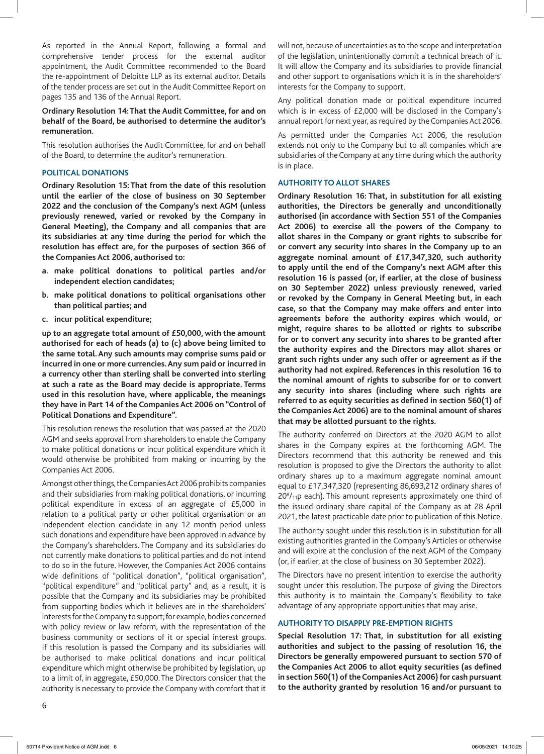As reported in the Annual Report, following a formal and comprehensive tender process for the external auditor appointment, the Audit Committee recommended to the Board the re-appointment of Deloitte LLP as its external auditor. Details of the tender process are set out in the Audit Committee Report on pages 135 and 136 of the Annual Report.

# **Ordinary Resolution 14: That the Audit Committee, for and on behalf of the Board, be authorised to determine the auditor's remuneration.**

This resolution authorises the Audit Committee, for and on behalf of the Board, to determine the auditor's remuneration.

# **POLITICAL DONATIONS**

**Ordinary Resolution 15: That from the date of this resolution until the earlier of the close of business on 30 September 2022 and the conclusion of the Company's next AGM (unless previously renewed, varied or revoked by the Company in General Meeting), the Company and all companies that are its subsidiaries at any time during the period for which the resolution has effect are, for the purposes of section 366 of the Companies Act 2006, authorised to:**

- **a. make political donations to political parties and/or independent election candidates;**
- **b. make political donations to political organisations other than political parties; and**
- **c. incur political expenditure;**

**up to an aggregate total amount of £50,000, with the amount authorised for each of heads (a) to (c) above being limited to the same total. Any such amounts may comprise sums paid or incurred in one or more currencies. Any sum paid or incurred in a currency other than sterling shall be converted into sterling at such a rate as the Board may decide is appropriate. Terms used in this resolution have, where applicable, the meanings they have in Part 14 of the Companies Act 2006 on "Control of Political Donations and Expenditure".**

This resolution renews the resolution that was passed at the 2020 AGM and seeks approval from shareholders to enable the Company to make political donations or incur political expenditure which it would otherwise be prohibited from making or incurring by the Companies Act 2006.

Amongst other things, the Companies Act 2006 prohibits companies and their subsidiaries from making political donations, or incurring political expenditure in excess of an aggregate of £5,000 in relation to a political party or other political organisation or an independent election candidate in any 12 month period unless such donations and expenditure have been approved in advance by the Company's shareholders. The Company and its subsidiaries do not currently make donations to political parties and do not intend to do so in the future. However, the Companies Act 2006 contains wide definitions of "political donation", "political organisation", "political expenditure" and "political party" and, as a result, it is possible that the Company and its subsidiaries may be prohibited from supporting bodies which it believes are in the shareholders' interests for the Company to support; for example, bodies concerned with policy review or law reform, with the representation of the business community or sections of it or special interest groups. If this resolution is passed the Company and its subsidiaries will be authorised to make political donations and incur political expenditure which might otherwise be prohibited by legislation, up to a limit of, in aggregate, £50,000. The Directors consider that the authority is necessary to provide the Company with comfort that it

will not, because of uncertainties as to the scope and interpretation of the legislation, unintentionally commit a technical breach of it. It will allow the Company and its subsidiaries to provide financial and other support to organisations which it is in the shareholders' interests for the Company to support.

Any political donation made or political expenditure incurred which is in excess of £2,000 will be disclosed in the Company's annual report for next year, as required by the Companies Act 2006.

As permitted under the Companies Act 2006, the resolution extends not only to the Company but to all companies which are subsidiaries of the Company at any time during which the authority is in place.

#### **AUTHORITY TO ALLOT SHARES**

**Ordinary Resolution 16: That, in substitution for all existing authorities, the Directors be generally and unconditionally authorised (in accordance with Section 551 of the Companies Act 2006) to exercise all the powers of the Company to allot shares in the Company or grant rights to subscribe for or convert any security into shares in the Company up to an aggregate nominal amount of £17,347,320, such authority to apply until the end of the Company's next AGM after this resolution 16 is passed (or, if earlier, at the close of business on 30 September 2022) unless previously renewed, varied or revoked by the Company in General Meeting but, in each case, so that the Company may make offers and enter into agreements before the authority expires which would, or might, require shares to be allotted or rights to subscribe for or to convert any security into shares to be granted after the authority expires and the Directors may allot shares or grant such rights under any such offer or agreement as if the authority had not expired. References in this resolution 16 to the nominal amount of rights to subscribe for or to convert any security into shares (including where such rights are referred to as equity securities as defined in section 560(1) of the Companies Act 2006) are to the nominal amount of shares that may be allotted pursuant to the rights.**

The authority conferred on Directors at the 2020 AGM to allot shares in the Company expires at the forthcoming AGM. The Directors recommend that this authority be renewed and this resolution is proposed to give the Directors the authority to allot ordinary shares up to a maximum aggregate nominal amount equal to £17,347,320 (representing 86,693,212 ordinary shares of 20<sup>8</sup>/<sub>11</sub>p each). This amount represents approximately one third of the issued ordinary share capital of the Company as at 28 April 2021, the latest practicable date prior to publication of this Notice.

The authority sought under this resolution is in substitution for all existing authorities granted in the Company's Articles or otherwise and will expire at the conclusion of the next AGM of the Company (or, if earlier, at the close of business on 30 September 2022).

The Directors have no present intention to exercise the authority sought under this resolution. The purpose of giving the Directors this authority is to maintain the Company's flexibility to take advantage of any appropriate opportunities that may arise.

# **AUTHORITY TO DISAPPLY PRE-EMPTION RIGHTS**

**Special Resolution 17: That, in substitution for all existing authorities and subject to the passing of resolution 16, the Directors be generally empowered pursuant to section 570 of the Companies Act 2006 to allot equity securities (as defined in section 560(1) of the Companies Act 2006) for cash pursuant to the authority granted by resolution 16 and/or pursuant to**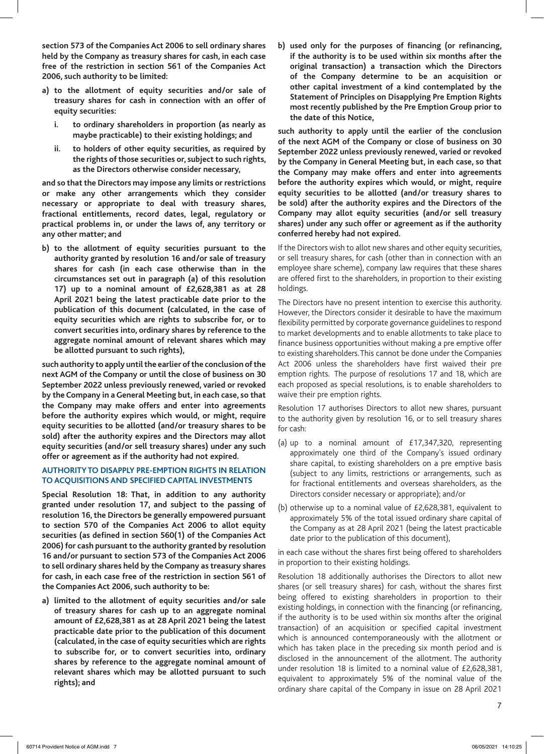**section 573 of the Companies Act 2006 to sell ordinary shares held by the Company as treasury shares for cash, in each case free of the restriction in section 561 of the Companies Act 2006, such authority to be limited:**

- **a) to the allotment of equity securities and/or sale of treasury shares for cash in connection with an offer of equity securities:**
	- **i. to ordinary shareholders in proportion (as nearly as maybe practicable) to their existing holdings; and**
	- **ii. to holders of other equity securities, as required by the rights of those securities or, subject to such rights, as the Directors otherwise consider necessary,**

**and so that the Directors may impose any limits or restrictions or make any other arrangements which they consider necessary or appropriate to deal with treasury shares, fractional entitlements, record dates, legal, regulatory or practical problems in, or under the laws of, any territory or any other matter; and**

**b) to the allotment of equity securities pursuant to the authority granted by resolution 16 and/or sale of treasury shares for cash (in each case otherwise than in the circumstances set out in paragraph (a) of this resolution 17) up to a nominal amount of £2,628,381 as at 28 April 2021 being the latest practicable date prior to the publication of this document (calculated, in the case of equity securities which are rights to subscribe for, or to convert securities into, ordinary shares by reference to the aggregate nominal amount of relevant shares which may be allotted pursuant to such rights),**

**such authority to apply until the earlier of the conclusion of the next AGM of the Company or until the close of business on 30 September 2022 unless previously renewed, varied or revoked by the Company in a General Meeting but, in each case, so that the Company may make offers and enter into agreements before the authority expires which would, or might, require equity securities to be allotted (and/or treasury shares to be sold) after the authority expires and the Directors may allot equity securities (and/or sell treasury shares) under any such offer or agreement as if the authority had not expired.**

# **AUTHORITY TO DISAPPLY PRE-EMPTION RIGHTS IN RELATION TO ACQUISITIONS AND SPECIFIED CAPITAL INVESTMENTS**

**Special Resolution 18: That, in addition to any authority granted under resolution 17, and subject to the passing of resolution 16, the Directors be generally empowered pursuant to section 570 of the Companies Act 2006 to allot equity securities (as defined in section 560(1) of the Companies Act 2006) for cash pursuant to the authority granted by resolution 16 and/or pursuant to section 573 of the Companies Act 2006 to sell ordinary shares held by the Company as treasury shares for cash, in each case free of the restriction in section 561 of the Companies Act 2006, such authority to be:**

**a) limited to the allotment of equity securities and/or sale of treasury shares for cash up to an aggregate nominal amount of £2,628,381 as at 28 April 2021 being the latest practicable date prior to the publication of this document (calculated, in the case of equity securities which are rights to subscribe for, or to convert securities into, ordinary shares by reference to the aggregate nominal amount of relevant shares which may be allotted pursuant to such rights); and**

**b) used only for the purposes of financing (or refinancing, if the authority is to be used within six months after the original transaction) a transaction which the Directors of the Company determine to be an acquisition or other capital investment of a kind contemplated by the Statement of Principles on Disapplying Pre Emption Rights most recently published by the Pre Emption Group prior to the date of this Notice,**

**such authority to apply until the earlier of the conclusion of the next AGM of the Company or close of business on 30 September 2022 unless previously renewed, varied or revoked by the Company in General Meeting but, in each case, so that the Company may make offers and enter into agreements before the authority expires which would, or might, require equity securities to be allotted (and/or treasury shares to be sold) after the authority expires and the Directors of the Company may allot equity securities (and/or sell treasury shares) under any such offer or agreement as if the authority conferred hereby had not expired.**

If the Directors wish to allot new shares and other equity securities, or sell treasury shares, for cash (other than in connection with an employee share scheme), company law requires that these shares are offered first to the shareholders, in proportion to their existing holdings.

The Directors have no present intention to exercise this authority. However, the Directors consider it desirable to have the maximum flexibility permitted by corporate governance guidelines to respond to market developments and to enable allotments to take place to finance business opportunities without making a pre emptive offer to existing shareholders. This cannot be done under the Companies Act 2006 unless the shareholders have first waived their pre emption rights. The purpose of resolutions 17 and 18, which are each proposed as special resolutions, is to enable shareholders to waive their pre emption rights.

Resolution 17 authorises Directors to allot new shares, pursuant to the authority given by resolution 16, or to sell treasury shares for cash:

- (a) up to a nominal amount of £17,347,320, representing approximately one third of the Company's issued ordinary share capital, to existing shareholders on a pre emptive basis (subject to any limits, restrictions or arrangements, such as for fractional entitlements and overseas shareholders, as the Directors consider necessary or appropriate); and/or
- (b) otherwise up to a nominal value of £2,628,381, equivalent to approximately 5% of the total issued ordinary share capital of the Company as at 28 April 2021 (being the latest practicable date prior to the publication of this document),

in each case without the shares first being offered to shareholders in proportion to their existing holdings.

Resolution 18 additionally authorises the Directors to allot new shares (or sell treasury shares) for cash, without the shares first being offered to existing shareholders in proportion to their existing holdings, in connection with the financing (or refinancing, if the authority is to be used within six months after the original transaction) of an acquisition or specified capital investment which is announced contemporaneously with the allotment or which has taken place in the preceding six month period and is disclosed in the announcement of the allotment. The authority under resolution 18 is limited to a nominal value of £2,628,381, equivalent to approximately 5% of the nominal value of the ordinary share capital of the Company in issue on 28 April 2021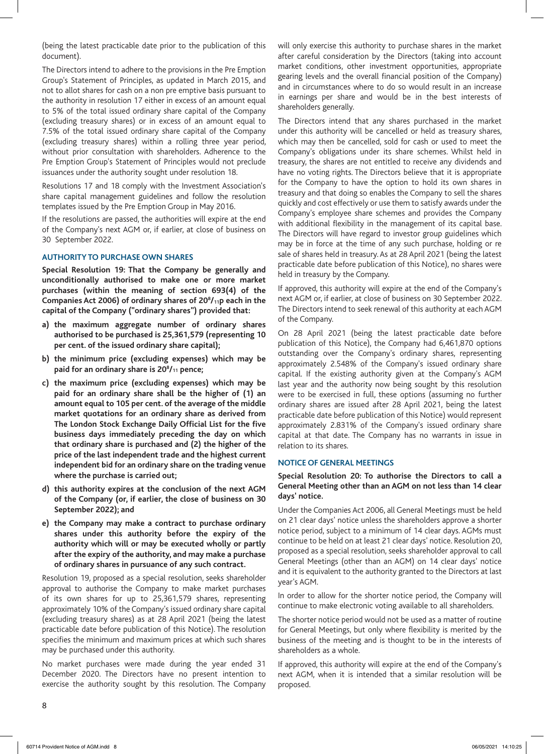(being the latest practicable date prior to the publication of this document).

The Directors intend to adhere to the provisions in the Pre Emption Group's Statement of Principles, as updated in March 2015, and not to allot shares for cash on a non pre emptive basis pursuant to the authority in resolution 17 either in excess of an amount equal to 5% of the total issued ordinary share capital of the Company (excluding treasury shares) or in excess of an amount equal to 7.5% of the total issued ordinary share capital of the Company (excluding treasury shares) within a rolling three year period, without prior consultation with shareholders. Adherence to the Pre Emption Group's Statement of Principles would not preclude issuances under the authority sought under resolution 18.

Resolutions 17 and 18 comply with the Investment Association's share capital management guidelines and follow the resolution templates issued by the Pre Emption Group in May 2016.

If the resolutions are passed, the authorities will expire at the end of the Company's next AGM or, if earlier, at close of business on 30 September 2022.

# **AUTHORITY TO PURCHASE OWN SHARES**

**Special Resolution 19: That the Company be generally and unconditionally authorised to make one or more market purchases (within the meaning of section 693(4) of the Companies Act 2006) of ordinary shares of 208 /11p each in the capital of the Company ("ordinary shares") provided that:**

- **a) the maximum aggregate number of ordinary shares authorised to be purchased is 25,361,579 (representing 10 per cent. of the issued ordinary share capital);**
- **b) the minimum price (excluding expenses) which may be paid for an ordinary share is 208 /11 pence;**
- **c) the maximum price (excluding expenses) which may be paid for an ordinary share shall be the higher of (1) an amount equal to 105 per cent. of the average of the middle market quotations for an ordinary share as derived from The London Stock Exchange Daily Official List for the five business days immediately preceding the day on which that ordinary share is purchased and (2) the higher of the price of the last independent trade and the highest current independent bid for an ordinary share on the trading venue where the purchase is carried out;**
- **d) this authority expires at the conclusion of the next AGM of the Company (or, if earlier, the close of business on 30 September 2022); and**
- **e) the Company may make a contract to purchase ordinary shares under this authority before the expiry of the authority which will or may be executed wholly or partly after the expiry of the authority, and may make a purchase of ordinary shares in pursuance of any such contract.**

Resolution 19, proposed as a special resolution, seeks shareholder approval to authorise the Company to make market purchases of its own shares for up to 25,361,579 shares, representing approximately 10% of the Company's issued ordinary share capital (excluding treasury shares) as at 28 April 2021 (being the latest practicable date before publication of this Notice). The resolution specifies the minimum and maximum prices at which such shares may be purchased under this authority.

No market purchases were made during the year ended 31 December 2020. The Directors have no present intention to exercise the authority sought by this resolution. The Company will only exercise this authority to purchase shares in the market after careful consideration by the Directors (taking into account market conditions, other investment opportunities, appropriate gearing levels and the overall financial position of the Company) and in circumstances where to do so would result in an increase in earnings per share and would be in the best interests of shareholders generally.

The Directors intend that any shares purchased in the market under this authority will be cancelled or held as treasury shares, which may then be cancelled, sold for cash or used to meet the Company's obligations under its share schemes. Whilst held in treasury, the shares are not entitled to receive any dividends and have no voting rights. The Directors believe that it is appropriate for the Company to have the option to hold its own shares in treasury and that doing so enables the Company to sell the shares quickly and cost effectively or use them to satisfy awards under the Company's employee share schemes and provides the Company with additional flexibility in the management of its capital base. The Directors will have regard to investor group guidelines which may be in force at the time of any such purchase, holding or re sale of shares held in treasury. As at 28 April 2021 (being the latest practicable date before publication of this Notice), no shares were held in treasury by the Company.

If approved, this authority will expire at the end of the Company's next AGM or, if earlier, at close of business on 30 September 2022. The Directors intend to seek renewal of this authority at each AGM of the Company.

On 28 April 2021 (being the latest practicable date before publication of this Notice), the Company had 6,461,870 options outstanding over the Company's ordinary shares, representing approximately 2.548% of the Company's issued ordinary share capital. If the existing authority given at the Company's AGM last year and the authority now being sought by this resolution were to be exercised in full, these options (assuming no further ordinary shares are issued after 28 April 2021, being the latest practicable date before publication of this Notice) would represent approximately 2.831% of the Company's issued ordinary share capital at that date. The Company has no warrants in issue in relation to its shares.

# **NOTICE OF GENERAL MEETINGS**

# **Special Resolution 20: To authorise the Directors to call a General Meeting other than an AGM on not less than 14 clear days' notice.**

Under the Companies Act 2006, all General Meetings must be held on 21 clear days' notice unless the shareholders approve a shorter notice period, subject to a minimum of 14 clear days. AGMs must continue to be held on at least 21 clear days' notice. Resolution 20, proposed as a special resolution, seeks shareholder approval to call General Meetings (other than an AGM) on 14 clear days' notice and it is equivalent to the authority granted to the Directors at last year's AGM.

In order to allow for the shorter notice period, the Company will continue to make electronic voting available to all shareholders.

The shorter notice period would not be used as a matter of routine for General Meetings, but only where flexibility is merited by the business of the meeting and is thought to be in the interests of shareholders as a whole.

If approved, this authority will expire at the end of the Company's next AGM, when it is intended that a similar resolution will be proposed.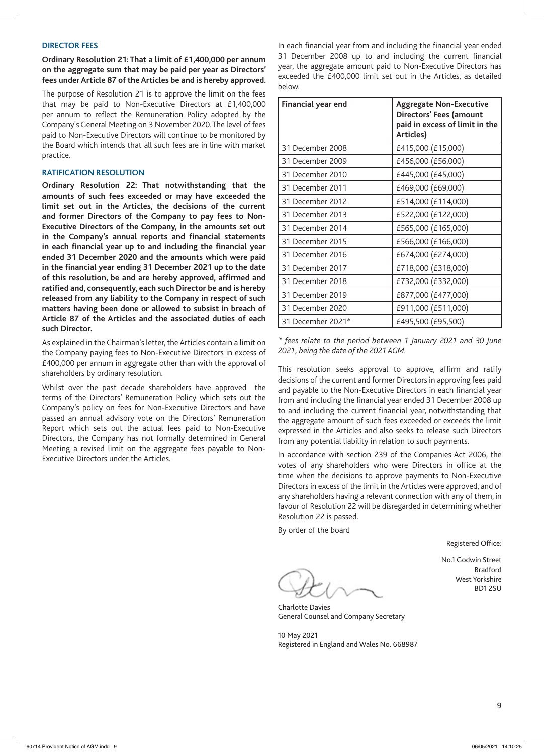#### **DIRECTOR FEES**

**Ordinary Resolution 21: That a limit of £1,400,000 per annum on the aggregate sum that may be paid per year as Directors' fees under Article 87 of the Articles be and is hereby approved.**

The purpose of Resolution 21 is to approve the limit on the fees that may be paid to Non-Executive Directors at £1,400,000 per annum to reflect the Remuneration Policy adopted by the Company's General Meeting on 3 November 2020. The level of fees paid to Non-Executive Directors will continue to be monitored by the Board which intends that all such fees are in line with market practice.

# **RATIFICATION RESOLUTION**

**Ordinary Resolution 22: That notwithstanding that the amounts of such fees exceeded or may have exceeded the limit set out in the Articles, the decisions of the current and former Directors of the Company to pay fees to Non-Executive Directors of the Company, in the amounts set out in the Company's annual reports and financial statements in each financial year up to and including the financial year ended 31 December 2020 and the amounts which were paid in the financial year ending 31 December 2021 up to the date of this resolution, be and are hereby approved, affirmed and ratified and, consequently, each such Director be and is hereby released from any liability to the Company in respect of such matters having been done or allowed to subsist in breach of Article 87 of the Articles and the associated duties of each such Director.**

As explained in the Chairman's letter, the Articles contain a limit on the Company paying fees to Non-Executive Directors in excess of £400,000 per annum in aggregate other than with the approval of shareholders by ordinary resolution.

Whilst over the past decade shareholders have approved the terms of the Directors' Remuneration Policy which sets out the Company's policy on fees for Non-Executive Directors and have passed an annual advisory vote on the Directors' Remuneration Report which sets out the actual fees paid to Non-Executive Directors, the Company has not formally determined in General Meeting a revised limit on the aggregate fees payable to Non-Executive Directors under the Articles.

In each financial year from and including the financial year ended 31 December 2008 up to and including the current financial year, the aggregate amount paid to Non-Executive Directors has exceeded the £400,000 limit set out in the Articles, as detailed below.

| <b>Financial year end</b> | <b>Aggregate Non-Executive</b><br>Directors' Fees (amount<br>paid in excess of limit in the<br>Articles) |
|---------------------------|----------------------------------------------------------------------------------------------------------|
| 31 December 2008          | £415,000 (£15,000)                                                                                       |
| 31 December 2009          | £456,000 (£56,000)                                                                                       |
| 31 December 2010          | £445,000 (£45,000)                                                                                       |
| 31 December 2011          | £469,000 (£69,000)                                                                                       |
| 31 December 2012          | £514,000 (£114,000)                                                                                      |
| 31 December 2013          | £522,000 (£122,000)                                                                                      |
| 31 December 2014          | £565,000 (£165,000)                                                                                      |
| 31 December 2015          | £566,000 (£166,000)                                                                                      |
| 31 December 2016          | £674,000 (£274,000)                                                                                      |
| 31 December 2017          | £718,000 (£318,000)                                                                                      |
| 31 December 2018          | £732,000 (£332,000)                                                                                      |
| 31 December 2019          | £877,000 (£477,000)                                                                                      |
| 31 December 2020          | £911,000 (£511,000)                                                                                      |
| 31 December 2021*         | £495,500 (£95,500)                                                                                       |

*\* fees relate to the period between 1 January 2021 and 30 June 2021, being the date of the 2021 AGM.* 

This resolution seeks approval to approve, affirm and ratify decisions of the current and former Directors in approving fees paid and payable to the Non-Executive Directors in each financial year from and including the financial year ended 31 December 2008 up to and including the current financial year, notwithstanding that the aggregate amount of such fees exceeded or exceeds the limit expressed in the Articles and also seeks to release such Directors from any potential liability in relation to such payments.

In accordance with section 239 of the Companies Act 2006, the votes of any shareholders who were Directors in office at the time when the decisions to approve payments to Non-Executive Directors in excess of the limit in the Articles were approved, and of any shareholders having a relevant connection with any of them, in favour of Resolution 22 will be disregarded in determining whether Resolution 22 is passed.

By order of the board

Registered Office:

No.1 Godwin Street Bradford West Yorkshire BD1 2SU

Charlotte Davies General Counsel and Company Secretary

10 May 2021 Registered in England and Wales No. 668987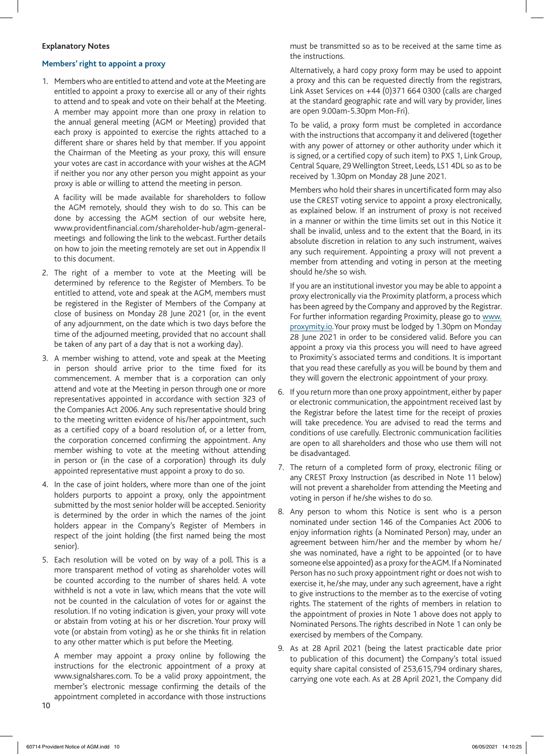#### **Explanatory Notes**

# **Members' right to appoint a proxy**

1. Members who are entitled to attend and vote at the Meeting are entitled to appoint a proxy to exercise all or any of their rights to attend and to speak and vote on their behalf at the Meeting. A member may appoint more than one proxy in relation to the annual general meeting (AGM or Meeting) provided that each proxy is appointed to exercise the rights attached to a different share or shares held by that member. If you appoint the Chairman of the Meeting as your proxy, this will ensure your votes are cast in accordance with your wishes at the AGM if neither you nor any other person you might appoint as your proxy is able or willing to attend the meeting in person.

 A facility will be made available for shareholders to follow the AGM remotely, should they wish to do so. This can be done by accessing the AGM section of our website here, www.providentfinancial.com/shareholder-hub/agm-generalmeetings and following the link to the webcast. Further details on how to join the meeting remotely are set out in Appendix II to this document.

- 2. The right of a member to vote at the Meeting will be determined by reference to the Register of Members. To be entitled to attend, vote and speak at the AGM, members must be registered in the Register of Members of the Company at close of business on Monday 28 June 2021 (or, in the event of any adjournment, on the date which is two days before the time of the adjourned meeting, provided that no account shall be taken of any part of a day that is not a working day).
- 3. A member wishing to attend, vote and speak at the Meeting in person should arrive prior to the time fixed for its commencement. A member that is a corporation can only attend and vote at the Meeting in person through one or more representatives appointed in accordance with section 323 of the Companies Act 2006. Any such representative should bring to the meeting written evidence of his/her appointment, such as a certified copy of a board resolution of, or a letter from, the corporation concerned confirming the appointment. Any member wishing to vote at the meeting without attending in person or (in the case of a corporation) through its duly appointed representative must appoint a proxy to do so.
- 4. In the case of joint holders, where more than one of the joint holders purports to appoint a proxy, only the appointment submitted by the most senior holder will be accepted. Seniority is determined by the order in which the names of the joint holders appear in the Company's Register of Members in respect of the joint holding (the first named being the most senior).
- 5. Each resolution will be voted on by way of a poll. This is a more transparent method of voting as shareholder votes will be counted according to the number of shares held. A vote withheld is not a vote in law, which means that the vote will not be counted in the calculation of votes for or against the resolution. If no voting indication is given, your proxy will vote or abstain from voting at his or her discretion. Your proxy will vote (or abstain from voting) as he or she thinks fit in relation to any other matter which is put before the Meeting.

 A member may appoint a proxy online by following the instructions for the electronic appointment of a proxy at www.signalshares.com. To be a valid proxy appointment, the member's electronic message confirming the details of the appointment completed in accordance with those instructions

must be transmitted so as to be received at the same time as the instructions.

 Alternatively, a hard copy proxy form may be used to appoint a proxy and this can be requested directly from the registrars, Link Asset Services on +44 (0)371 664 0300 (calls are charged at the standard geographic rate and will vary by provider, lines are open 9.00am-5.30pm Mon-Fri).

 To be valid, a proxy form must be completed in accordance with the instructions that accompany it and delivered (together with any power of attorney or other authority under which it is signed, or a certified copy of such item) to PXS 1, Link Group, Central Square, 29 Wellington Street, Leeds, LS1 4DL so as to be received by 1.30pm on Monday 28 June 2021.

 Members who hold their shares in uncertificated form may also use the CREST voting service to appoint a proxy electronically, as explained below. If an instrument of proxy is not received in a manner or within the time limits set out in this Notice it shall be invalid, unless and to the extent that the Board, in its absolute discretion in relation to any such instrument, waives any such requirement. Appointing a proxy will not prevent a member from attending and voting in person at the meeting should he/she so wish.

 If you are an institutional investor you may be able to appoint a proxy electronically via the Proximity platform, a process which has been agreed by the Company and approved by the Registrar. For further information regarding Proximity, please go to www. proxymity.io. Your proxy must be lodged by 1.30pm on Monday 28 June 2021 in order to be considered valid. Before you can appoint a proxy via this process you will need to have agreed to Proximity's associated terms and conditions. It is important that you read these carefully as you will be bound by them and they will govern the electronic appointment of your proxy.

- 6. If you return more than one proxy appointment, either by paper or electronic communication, the appointment received last by the Registrar before the latest time for the receipt of proxies will take precedence. You are advised to read the terms and conditions of use carefully. Electronic communication facilities are open to all shareholders and those who use them will not be disadvantaged.
- 7. The return of a completed form of proxy, electronic filing or any CREST Proxy Instruction (as described in Note 11 below) will not prevent a shareholder from attending the Meeting and voting in person if he/she wishes to do so.
- 8. Any person to whom this Notice is sent who is a person nominated under section 146 of the Companies Act 2006 to enjoy information rights (a Nominated Person) may, under an agreement between him/her and the member by whom he/ she was nominated, have a right to be appointed (or to have someone else appointed) as a proxy for the AGM. If a Nominated Person has no such proxy appointment right or does not wish to exercise it, he/she may, under any such agreement, have a right to give instructions to the member as to the exercise of voting rights. The statement of the rights of members in relation to the appointment of proxies in Note 1 above does not apply to Nominated Persons. The rights described in Note 1 can only be exercised by members of the Company.
- 9. As at 28 April 2021 (being the latest practicable date prior to publication of this document) the Company's total issued equity share capital consisted of 253,615,794 ordinary shares, carrying one vote each. As at 28 April 2021, the Company did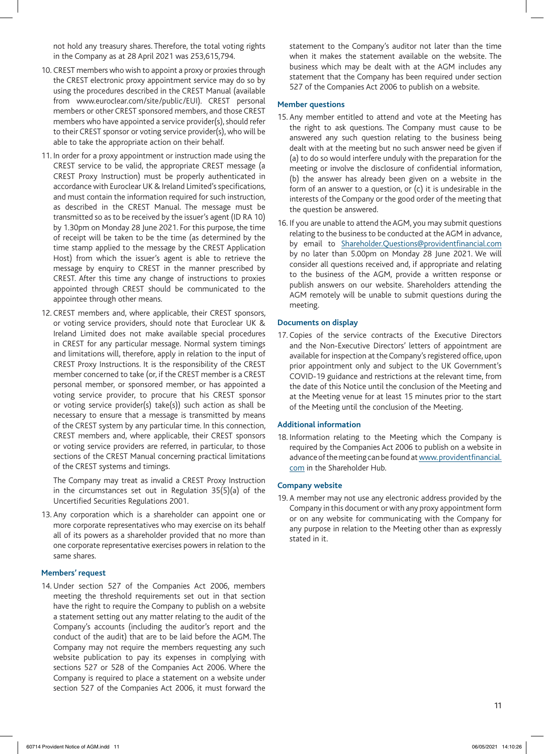not hold any treasury shares. Therefore, the total voting rights in the Company as at 28 April 2021 was 253,615,794.

- 10. CREST members who wish to appoint a proxy or proxies through the CREST electronic proxy appointment service may do so by using the procedures described in the CREST Manual (available from www.euroclear.com/site/public/EUI). CREST personal members or other CREST sponsored members, and those CREST members who have appointed a service provider(s), should refer to their CREST sponsor or voting service provider(s), who will be able to take the appropriate action on their behalf.
- 11. In order for a proxy appointment or instruction made using the CREST service to be valid, the appropriate CREST message (a CREST Proxy Instruction) must be properly authenticated in accordance with Euroclear UK & Ireland Limited's specifications, and must contain the information required for such instruction, as described in the CREST Manual. The message must be transmitted so as to be received by the issuer's agent (ID RA 10) by 1.30pm on Monday 28 June 2021. For this purpose, the time of receipt will be taken to be the time (as determined by the time stamp applied to the message by the CREST Application Host) from which the issuer's agent is able to retrieve the message by enquiry to CREST in the manner prescribed by CREST. After this time any change of instructions to proxies appointed through CREST should be communicated to the appointee through other means.
- 12. CREST members and, where applicable, their CREST sponsors, or voting service providers, should note that Euroclear UK & Ireland Limited does not make available special procedures in CREST for any particular message. Normal system timings and limitations will, therefore, apply in relation to the input of CREST Proxy Instructions. It is the responsibility of the CREST member concerned to take (or, if the CREST member is a CREST personal member, or sponsored member, or has appointed a voting service provider, to procure that his CREST sponsor or voting service provider(s) take(s)) such action as shall be necessary to ensure that a message is transmitted by means of the CREST system by any particular time. In this connection, CREST members and, where applicable, their CREST sponsors or voting service providers are referred, in particular, to those sections of the CREST Manual concerning practical limitations of the CREST systems and timings.

 The Company may treat as invalid a CREST Proxy Instruction in the circumstances set out in Regulation 35(5)(a) of the Uncertified Securities Regulations 2001.

13. Any corporation which is a shareholder can appoint one or more corporate representatives who may exercise on its behalf all of its powers as a shareholder provided that no more than one corporate representative exercises powers in relation to the same shares.

#### **Members' request**

14. Under section 527 of the Companies Act 2006, members meeting the threshold requirements set out in that section have the right to require the Company to publish on a website a statement setting out any matter relating to the audit of the Company's accounts (including the auditor's report and the conduct of the audit) that are to be laid before the AGM. The Company may not require the members requesting any such website publication to pay its expenses in complying with sections 527 or 528 of the Companies Act 2006. Where the Company is required to place a statement on a website under section 527 of the Companies Act 2006, it must forward the

statement to the Company's auditor not later than the time when it makes the statement available on the website. The business which may be dealt with at the AGM includes any statement that the Company has been required under section 527 of the Companies Act 2006 to publish on a website.

# **Member questions**

- 15. Any member entitled to attend and vote at the Meeting has the right to ask questions. The Company must cause to be answered any such question relating to the business being dealt with at the meeting but no such answer need be given if (a) to do so would interfere unduly with the preparation for the meeting or involve the disclosure of confidential information, (b) the answer has already been given on a website in the form of an answer to a question, or (c) it is undesirable in the interests of the Company or the good order of the meeting that the question be answered.
- 16. If you are unable to attend the AGM, you may submit questions relating to the business to be conducted at the AGM in advance, by email to Shareholder.Questions@providentfinancial.com by no later than 5.00pm on Monday 28 June 2021. We will consider all questions received and, if appropriate and relating to the business of the AGM, provide a written response or publish answers on our website. Shareholders attending the AGM remotely will be unable to submit questions during the meeting.

#### **Documents on display**

17. Copies of the service contracts of the Executive Directors and the Non-Executive Directors' letters of appointment are available for inspection at the Company's registered office, upon prior appointment only and subject to the UK Government's COVID-19 guidance and restrictions at the relevant time, from the date of this Notice until the conclusion of the Meeting and at the Meeting venue for at least 15 minutes prior to the start of the Meeting until the conclusion of the Meeting.

#### **Additional information**

18. Information relating to the Meeting which the Company is required by the Companies Act 2006 to publish on a website in advance of the meeting can be found at www. providentfinancial. com in the Shareholder Hub.

#### **Company website**

19. A member may not use any electronic address provided by the Company in this document or with any proxy appointment form or on any website for communicating with the Company for any purpose in relation to the Meeting other than as expressly stated in it.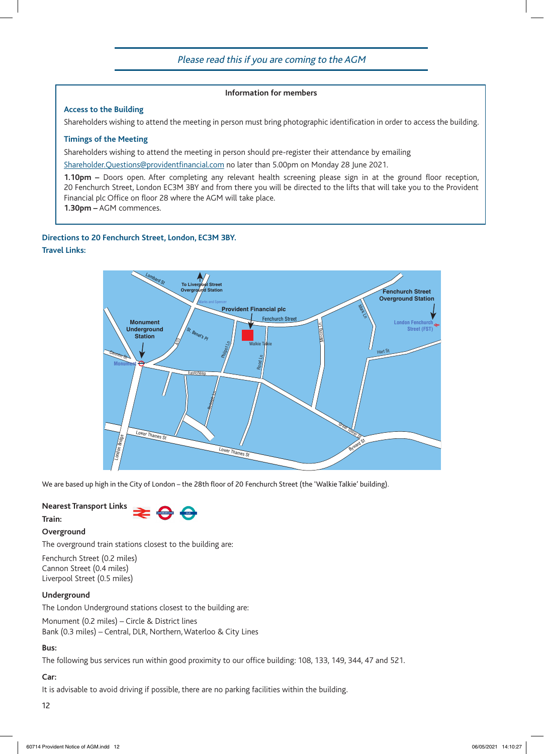# Please read this if you are coming to the AGM

# **Information for members**

# **Access to the Building**

Shareholders wishing to attend the meeting in person must bring photographic identification in order to access the building.

# **Timings of the Meeting**

Shareholders wishing to attend the meeting in person should pre-register their attendance by emailing

Shareholder.Questions@providentfinancial.com no later than 5.00pm on Monday 28 June 2021.

**1.10pm –** Doors open. After completing any relevant health screening please sign in at the ground floor reception, 20 Fenchurch Street, London EC3M 3BY and from there you will be directed to the lifts that will take you to the Provident Financial plc Office on floor 28 where the AGM will take place.

**1.30pm –** AGM commences.

# **Directions to 20 Fenchurch Street, London, EC3M 3BY. Travel Links:**



We are based up high in the City of London – the 28th floor of 20 Fenchurch Street (the 'Walkie Talkie' building).

# **Nearest Transport Links**

#### **Train:**



# **Overground**

The overground train stations closest to the building are:

Fenchurch Street (0.2 miles) Cannon Street (0.4 miles) Liverpool Street (0.5 miles)

# **Underground**

The London Underground stations closest to the building are:

Monument (0.2 miles) – Circle & District lines Bank (0.3 miles) – Central, DLR, Northern, Waterloo & City Lines

# **Bus:**

The following bus services run within good proximity to our office building: 108, 133, 149, 344, 47 and 521.

# **Car:**

It is advisable to avoid driving if possible, there are no parking facilities within the building.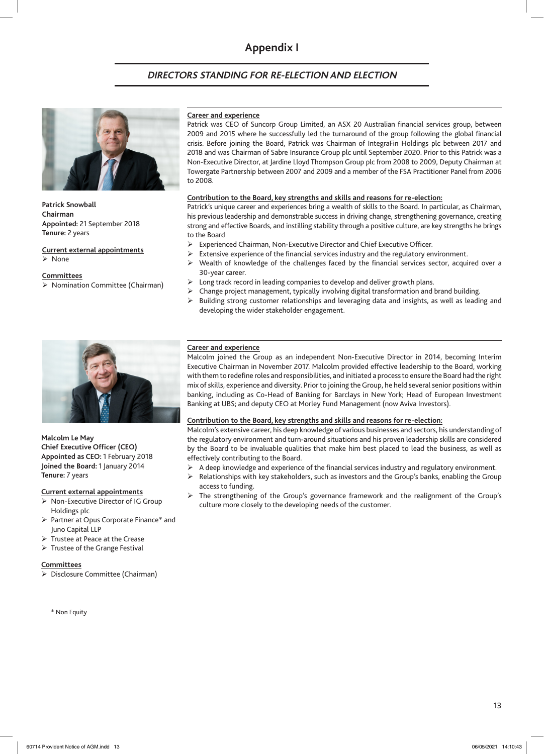# **Appendix I**

# **DIRECTORS STANDING FOR RE-ELECTION AND ELECTION**



**Patrick Snowball Chairman Appointed:** 21 September 2018 **Tenure:** 2 years

#### **Current external appointments**

 $\triangleright$  None

#### **Committees**

Nomination Committee (Chairman)



#### **Malcolm Le May Chief Executive Officer (CEO) Appointed as CEO:** 1 February 2018 **Joined the Board:** 1 January 2014 **Tenure:** 7 years

#### **Current external appointments**

- Non-Executive Director of IG Group Holdings plc
- Partner at Opus Corporate Finance\* and Juno Capital LLP
- Trustee at Peace at the Crease
- $\triangleright$  Trustee of the Grange Festival

#### **Committees**

Disclosure Committee (Chairman)

\* Non Equity

#### **Career and experience**

Patrick was CEO of Suncorp Group Limited, an ASX 20 Australian financial services group, between 2009 and 2015 where he successfully led the turnaround of the group following the global financial crisis. Before joining the Board, Patrick was Chairman of IntegraFin Holdings plc between 2017 and 2018 and was Chairman of Sabre Insurance Group plc until September 2020. Prior to this Patrick was a Non-Executive Director, at Jardine Lloyd Thompson Group plc from 2008 to 2009, Deputy Chairman at Towergate Partnership between 2007 and 2009 and a member of the FSA Practitioner Panel from 2006 to 2008.

#### **Contribution to the Board, key strengths and skills and reasons for re-election:**

Patrick's unique career and experiences bring a wealth of skills to the Board. In particular, as Chairman, his previous leadership and demonstrable success in driving change, strengthening governance, creating strong and effective Boards, and instilling stability through a positive culture, are key strengths he brings to the Board

- Experienced Chairman, Non-Executive Director and Chief Executive Officer.
- Extensive experience of the financial services industry and the regulatory environment.
- $\triangleright$  Wealth of knowledge of the challenges faced by the financial services sector, acquired over a 30-year career.
- $\triangleright$  Long track record in leading companies to develop and deliver growth plans.
- Change project management, typically involving digital transformation and brand building.
- $\triangleright$  Building strong customer relationships and leveraging data and insights, as well as leading and developing the wider stakeholder engagement.

# **Career and experience**

Malcolm joined the Group as an independent Non-Executive Director in 2014, becoming Interim Executive Chairman in November 2017. Malcolm provided effective leadership to the Board, working with them to redefine roles and responsibilities, and initiated a process to ensure the Board had the right mix of skills, experience and diversity. Prior to joining the Group, he held several senior positions within banking, including as Co-Head of Banking for Barclays in New York; Head of European Investment Banking at UBS; and deputy CEO at Morley Fund Management (now Aviva Investors).

#### **Contribution to the Board, key strengths and skills and reasons for re-election:**

Malcolm's extensive career, his deep knowledge of various businesses and sectors, his understanding of the regulatory environment and turn-around situations and his proven leadership skills are considered by the Board to be invaluable qualities that make him best placed to lead the business, as well as effectively contributing to the Board.

- A deep knowledge and experience of the financial services industry and regulatory environment.
- $\triangleright$  Relationships with key stakeholders, such as investors and the Group's banks, enabling the Group access to funding.
- The strengthening of the Group's governance framework and the realignment of the Group's culture more closely to the developing needs of the customer.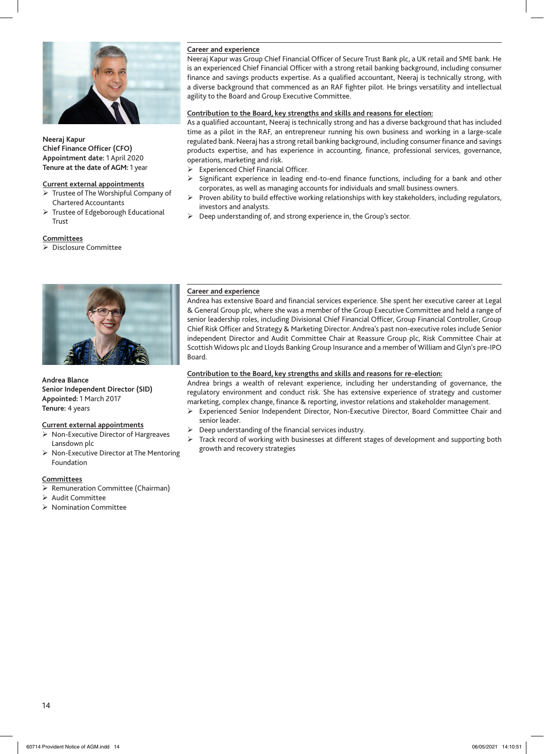

**Neeraj Kapur Chief Finance Officer (CFO) Appointment date:** 1 April 2020 **Tenure at the date of AGM:** 1 year

#### **Current external appointments**

- > Trustee of The Worshipful Company of Chartered Accountants
- Trustee of Edgeborough Educational Trust

#### **Committees**

Disclosure Committee



**Andrea Blance Senior Independent Director (SID) Appointed:** 1 March 2017 **Tenure:** 4 years

#### **Current external appointments**

- Non-Executive Director of Hargreaves Lansdown plc
- $\triangleright$  Non-Executive Director at The Mentoring Foundation

#### **Committees**

- Remuneration Committee (Chairman)
- Audit Committee
- $\triangleright$  Nomination Committee

#### **Career and experience**

Neeraj Kapur was Group Chief Financial Officer of Secure Trust Bank plc, a UK retail and SME bank. He is an experienced Chief Financial Officer with a strong retail banking background, including consumer finance and savings products expertise. As a qualified accountant, Neeraj is technically strong, with a diverse background that commenced as an RAF fighter pilot. He brings versatility and intellectual agility to the Board and Group Executive Committee.

#### **Contribution to the Board, key strengths and skills and reasons for election:**

As a qualified accountant, Neeraj is technically strong and has a diverse background that has included time as a pilot in the RAF, an entrepreneur running his own business and working in a large-scale regulated bank. Neeraj has a strong retail banking background, including consumer finance and savings products expertise, and has experience in accounting, finance, professional services, governance, operations, marketing and risk.

- Experienced Chief Financial Officer.
- Significant experience in leading end-to-end finance functions, including for a bank and other corporates, as well as managing accounts for individuals and small business owners.
- Proven ability to build effective working relationships with key stakeholders, including regulators, investors and analysts.
- $\triangleright$  Deep understanding of, and strong experience in, the Group's sector.

#### **Career and experience**

Andrea has extensive Board and financial services experience. She spent her executive career at Legal & General Group plc, where she was a member of the Group Executive Committee and held a range of senior leadership roles, including Divisional Chief Financial Officer, Group Financial Controller, Group Chief Risk Officer and Strategy & Marketing Director. Andrea's past non-executive roles include Senior independent Director and Audit Committee Chair at Reassure Group plc, Risk Committee Chair at Scottish Widows plc and Lloyds Banking Group Insurance and a member of William and Glyn's pre-IPO Board.

#### **Contribution to the Board, key strengths and skills and reasons for re-election:**

Andrea brings a wealth of relevant experience, including her understanding of governance, the regulatory environment and conduct risk. She has extensive experience of strategy and customer marketing, complex change, finance & reporting, investor relations and stakeholder management.

- Experienced Senior Independent Director, Non-Executive Director, Board Committee Chair and senior leader.
- Deep understanding of the financial services industry.
- Track record of working with businesses at different stages of development and supporting both growth and recovery strategies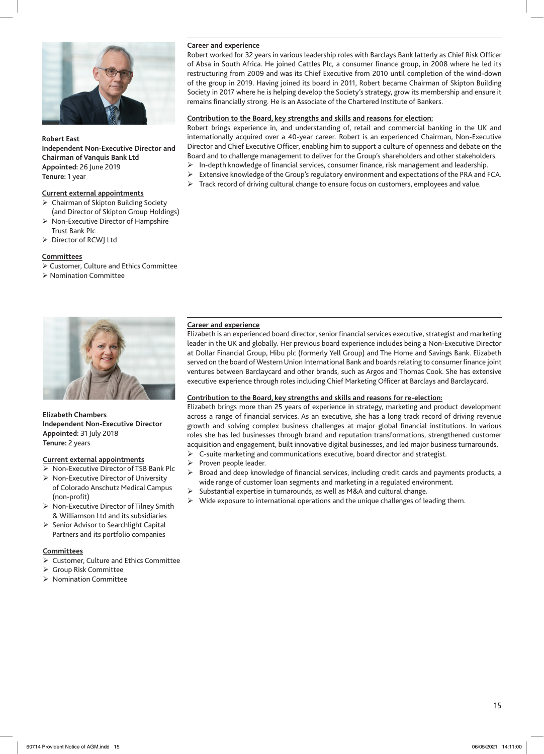

**Robert East Independent Non-Executive Director and Chairman of Vanquis Bank Ltd Appointed:** 26 June 2019 **Tenure:** 1 year

#### **Current external appointments**

- Chairman of Skipton Building Society (and Director of Skipton Group Holdings)
- $\triangleright$  Non-Executive Director of Hampshire Trust Bank Plc
- > Director of RCWI Ltd

#### **Committees**

- Customer, Culture and Ethics Committee
- Nomination Committee



**Elizabeth Chambers Independent Non-Executive Director Appointed:** 31 July 2018 **Tenure:** 2 years

#### **Current external appointments**

- Non-Executive Director of TSB Bank Plc
- $\triangleright$  Non-Executive Director of University of Colorado Anschutz Medical Campus (non-profit)
- Non-Executive Director of Tilney Smith & Williamson Ltd and its subsidiaries
- $\triangleright$  Senior Advisor to Searchlight Capital Partners and its portfolio companies

#### **Committees**

- Customer, Culture and Ethics Committee
- Group Risk Committee
- Nomination Committee

#### **Career and experience**

Robert worked for 32 years in various leadership roles with Barclays Bank latterly as Chief Risk Officer of Absa in South Africa. He joined Cattles Plc, a consumer finance group, in 2008 where he led its restructuring from 2009 and was its Chief Executive from 2010 until completion of the wind-down of the group in 2019. Having joined its board in 2011, Robert became Chairman of Skipton Building Society in 2017 where he is helping develop the Society's strategy, grow its membership and ensure it remains financially strong. He is an Associate of the Chartered Institute of Bankers.

# **Contribution to the Board, key strengths and skills and reasons for election:**

Robert brings experience in, and understanding of, retail and commercial banking in the UK and internationally acquired over a 40-year career. Robert is an experienced Chairman, Non-Executive Director and Chief Executive Officer, enabling him to support a culture of openness and debate on the Board and to challenge management to deliver for the Group's shareholders and other stakeholders.

- $\triangleright$  In-depth knowledge of financial services, consumer finance, risk management and leadership.
- Extensive knowledge of the Group's regulatory environment and expectations of the PRA and FCA.
- Track record of driving cultural change to ensure focus on customers, employees and value.

#### **Career and experience**

Elizabeth is an experienced board director, senior financial services executive, strategist and marketing leader in the UK and globally. Her previous board experience includes being a Non-Executive Director at Dollar Financial Group, Hibu plc (formerly Yell Group) and The Home and Savings Bank. Elizabeth served on the board of Western Union International Bank and boards relating to consumer finance joint ventures between Barclaycard and other brands, such as Argos and Thomas Cook. She has extensive executive experience through roles including Chief Marketing Officer at Barclays and Barclaycard.

#### **Contribution to the Board, key strengths and skills and reasons for re-election:**

Elizabeth brings more than 25 years of experience in strategy, marketing and product development across a range of financial services. As an executive, she has a long track record of driving revenue growth and solving complex business challenges at major global financial institutions. In various roles she has led businesses through brand and reputation transformations, strengthened customer acquisition and engagement, built innovative digital businesses, and led major business turnarounds.

- $\triangleright$  C-suite marketing and communications executive, board director and strategist.
- Proven people leader.
- $\triangleright$  Broad and deep knowledge of financial services, including credit cards and payments products, a wide range of customer loan segments and marketing in a regulated environment.
- Substantial expertise in turnarounds, as well as M&A and cultural change.
- Wide exposure to international operations and the unique challenges of leading them.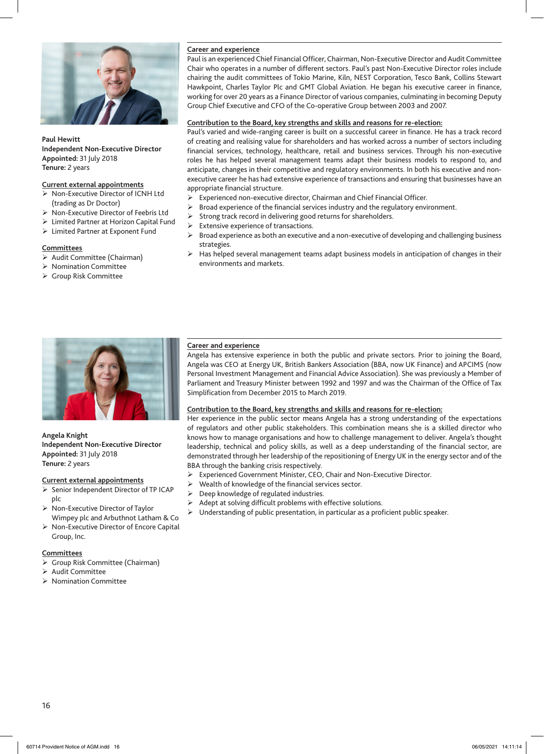

**Paul Hewitt Independent Non-Executive Director Appointed:** 31 July 2018 **Tenure:** 2 years

#### **Current external appointments**

- ▶ Non-Executive Director of ICNH Ltd (trading as Dr Doctor)
- > Non-Executive Director of Feebris Ltd
- Limited Partner at Horizon Capital Fund
- Limited Partner at Exponent Fund

#### **Committees**

- > Audit Committee (Chairman)
- Nomination Committee
- Group Risk Committee

#### **Career and experience**

Paul is an experienced Chief Financial Officer, Chairman, Non-Executive Director and Audit Committee Chair who operates in a number of different sectors. Paul's past Non-Executive Director roles include chairing the audit committees of Tokio Marine, Kiln, NEST Corporation, Tesco Bank, Collins Stewart Hawkpoint, Charles Taylor Plc and GMT Global Aviation. He began his executive career in finance, working for over 20 years as a Finance Director of various companies, culminating in becoming Deputy Group Chief Executive and CFO of the Co-operative Group between 2003 and 2007.

#### **Contribution to the Board, key strengths and skills and reasons for re-election:**

Paul's varied and wide-ranging career is built on a successful career in finance. He has a track record of creating and realising value for shareholders and has worked across a number of sectors including financial services, technology, healthcare, retail and business services. Through his non-executive roles he has helped several management teams adapt their business models to respond to, and anticipate, changes in their competitive and regulatory environments. In both his executive and nonexecutive career he has had extensive experience of transactions and ensuring that businesses have an appropriate financial structure.

- Experienced non-executive director, Chairman and Chief Financial Officer.
- $\triangleright$  Broad experience of the financial services industry and the regulatory environment.
- $\triangleright$  Strong track record in delivering good returns for shareholders.
- Extensive experience of transactions.
- Broad experience as both an executive and a non-executive of developing and challenging business strategies.
- Has helped several management teams adapt business models in anticipation of changes in their environments and markets.



#### **Angela Knight Independent Non-Executive Director**

**Appointed:** 31 July 2018 **Tenure:** 2 years

#### **Current external appointments**

- Senior Independent Director of TP ICAP plc
- $\triangleright$  Non-Executive Director of Taylor Wimpey plc and Arbuthnot Latham & Co
- Non-Executive Director of Encore Capital Group, Inc.

#### **Committees**

- Group Risk Committee (Chairman)
- Audit Committee
- Nomination Committee

#### **Career and experience**

Angela has extensive experience in both the public and private sectors. Prior to joining the Board, Angela was CEO at Energy UK, British Bankers Association (BBA, now UK Finance) and APCIMS (now Personal Investment Management and Financial Advice Association). She was previously a Member of Parliament and Treasury Minister between 1992 and 1997 and was the Chairman of the Office of Tax Simplification from December 2015 to March 2019.

#### **Contribution to the Board, key strengths and skills and reasons for re-election:**

Her experience in the public sector means Angela has a strong understanding of the expectations of regulators and other public stakeholders. This combination means she is a skilled director who knows how to manage organisations and how to challenge management to deliver. Angela's thought leadership, technical and policy skills, as well as a deep understanding of the financial sector, are demonstrated through her leadership of the repositioning of Energy UK in the energy sector and of the BBA through the banking crisis respectively.

- Experienced Government Minister, CEO, Chair and Non-Executive Director.
- Wealth of knowledge of the financial services sector.
- $\triangleright$  Deep knowledge of regulated industries.
- $\triangleright$  Adept at solving difficult problems with effective solutions.
- Understanding of public presentation, in particular as a proficient public speaker.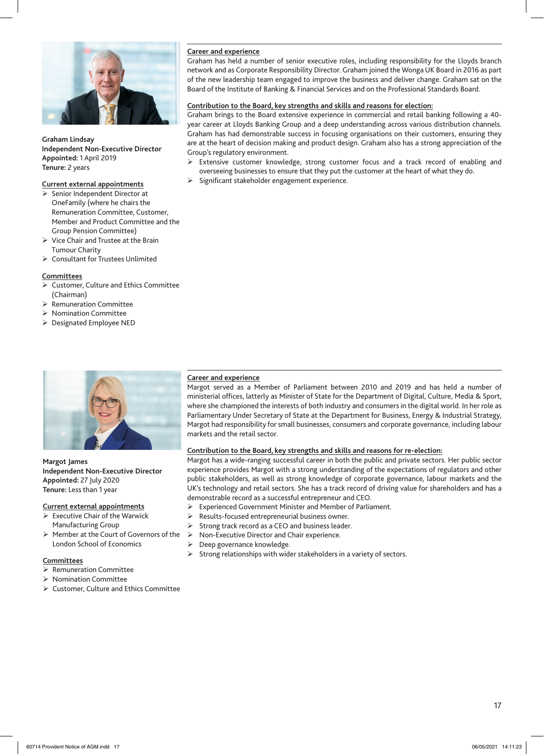

**Graham Lindsay Independent Non-Executive Director Appointed:** 1 April 2019 **Tenure:** 2 years

#### **Current external appointments**

- $\triangleright$  Senior Independent Director at OneFamily (where he chairs the Remuneration Committee, Customer, Member and Product Committee and the Group Pension Committee)
- Vice Chair and Trustee at the Brain Tumour Charity
- Consultant for Trustees Unlimited

#### **Committees**

- Customer, Culture and Ethics Committee (Chairman)
- Remuneration Committee
- Nomination Committee
- Designated Employee NED



**Margot James Independent Non-Executive Director Appointed:** 27 July 2020 **Tenure:** Less than 1 year

#### **Current external appointments**

- Executive Chair of the Warwick Manufacturing Group
- Member at the Court of Governors of the London School of Economics

#### **Committees**

- $\triangleright$  Remuneration Committee
- $\triangleright$  Nomination Committee
- Customer, Culture and Ethics Committee

# **Career and experience**

Graham has held a number of senior executive roles, including responsibility for the Lloyds branch network and as Corporate Responsibility Director. Graham joined the Wonga UK Board in 2016 as part of the new leadership team engaged to improve the business and deliver change. Graham sat on the Board of the Institute of Banking & Financial Services and on the Professional Standards Board.

#### **Contribution to the Board, key strengths and skills and reasons for election:**

Graham brings to the Board extensive experience in commercial and retail banking following a 40 year career at Lloyds Banking Group and a deep understanding across various distribution channels. Graham has had demonstrable success in focusing organisations on their customers, ensuring they are at the heart of decision making and product design. Graham also has a strong appreciation of the Group's regulatory environment.

- Extensive customer knowledge, strong customer focus and a track record of enabling and overseeing businesses to ensure that they put the customer at the heart of what they do.
- $\triangleright$  Significant stakeholder engagement experience.

#### **Career and experience**

Margot served as a Member of Parliament between 2010 and 2019 and has held a number of ministerial offices, latterly as Minister of State for the Department of Digital, Culture, Media & Sport, where she championed the interests of both industry and consumers in the digital world. In her role as Parliamentary Under Secretary of State at the Department for Business, Energy & Industrial Strategy, Margot had responsibility for small businesses, consumers and corporate governance, including labour markets and the retail sector.

#### **Contribution to the Board, key strengths and skills and reasons for re-election:**

Margot has a wide-ranging successful career in both the public and private sectors. Her public sector experience provides Margot with a strong understanding of the expectations of regulators and other public stakeholders, as well as strong knowledge of corporate governance, labour markets and the UK's technology and retail sectors. She has a track record of driving value for shareholders and has a demonstrable record as a successful entrepreneur and CEO.

 Experienced Government Minister and Member of Parliament.

- Results-focused entrepreneurial business owner.
- Strong track record as a CEO and business leader.
- > Non-Executive Director and Chair experience.
- Deep governance knowledge.
- $\triangleright$  Strong relationships with wider stakeholders in a variety of sectors.